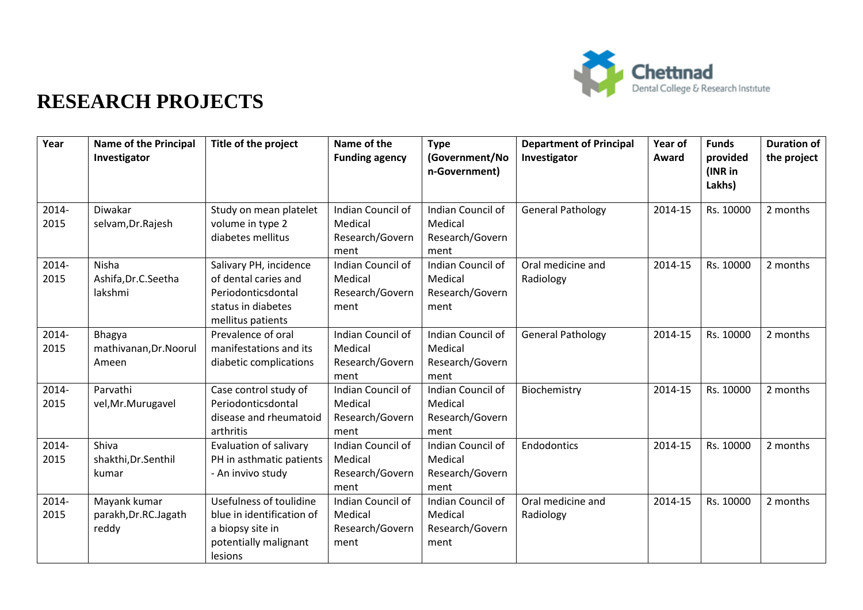

## **RESEARCH PROJECTS**

| Year          | <b>Name of the Principal</b><br>Investigator     | Title of the project                                                                                            | Name of the<br><b>Funding agency</b>                    | <b>Type</b><br>(Government/No<br>n-Government)          | <b>Department of Principal</b><br>Investigator | Year of<br>Award | <b>Funds</b><br>provided<br>(INR in<br>Lakhs) | <b>Duration of</b><br>the project |
|---------------|--------------------------------------------------|-----------------------------------------------------------------------------------------------------------------|---------------------------------------------------------|---------------------------------------------------------|------------------------------------------------|------------------|-----------------------------------------------|-----------------------------------|
| 2014-<br>2015 | Diwakar<br>selvam, Dr. Rajesh                    | Study on mean platelet<br>volume in type 2<br>diabetes mellitus                                                 | Indian Council of<br>Medical<br>Research/Govern<br>ment | Indian Council of<br>Medical<br>Research/Govern<br>ment | <b>General Pathology</b>                       | 2014-15          | Rs. 10000                                     | 2 months                          |
| 2014-<br>2015 | Nisha<br>Ashifa, Dr.C. Seetha<br>lakshmi         | Salivary PH, incidence<br>of dental caries and<br>Periodonticsdontal<br>status in diabetes<br>mellitus patients | Indian Council of<br>Medical<br>Research/Govern<br>ment | Indian Council of<br>Medical<br>Research/Govern<br>ment | Oral medicine and<br>Radiology                 | 2014-15          | Rs. 10000                                     | 2 months                          |
| 2014-<br>2015 | <b>Bhagya</b><br>mathivanan, Dr. Noorul<br>Ameen | Prevalence of oral<br>manifestations and its<br>diabetic complications                                          | Indian Council of<br>Medical<br>Research/Govern<br>ment | Indian Council of<br>Medical<br>Research/Govern<br>ment | <b>General Pathology</b>                       | 2014-15          | Rs. 10000                                     | 2 months                          |
| 2014-<br>2015 | Parvathi<br>vel, Mr. Murugavel                   | Case control study of<br>Periodonticsdontal<br>disease and rheumatoid<br>arthritis                              | Indian Council of<br>Medical<br>Research/Govern<br>ment | Indian Council of<br>Medical<br>Research/Govern<br>ment | Biochemistry                                   | 2014-15          | Rs. 10000                                     | 2 months                          |
| 2014-<br>2015 | Shiva<br>shakthi, Dr. Senthil<br>kumar           | Evaluation of salivary<br>PH in asthmatic patients<br>- An invivo study                                         | Indian Council of<br>Medical<br>Research/Govern<br>ment | Indian Council of<br>Medical<br>Research/Govern<br>ment | Endodontics                                    | 2014-15          | Rs. 10000                                     | 2 months                          |
| 2014-<br>2015 | Mayank kumar<br>parakh, Dr.RC. Jagath<br>reddy   | Usefulness of toulidine<br>blue in identification of<br>a biopsy site in<br>potentially malignant<br>lesions    | Indian Council of<br>Medical<br>Research/Govern<br>ment | Indian Council of<br>Medical<br>Research/Govern<br>ment | Oral medicine and<br>Radiology                 | 2014-15          | Rs. 10000                                     | 2 months                          |